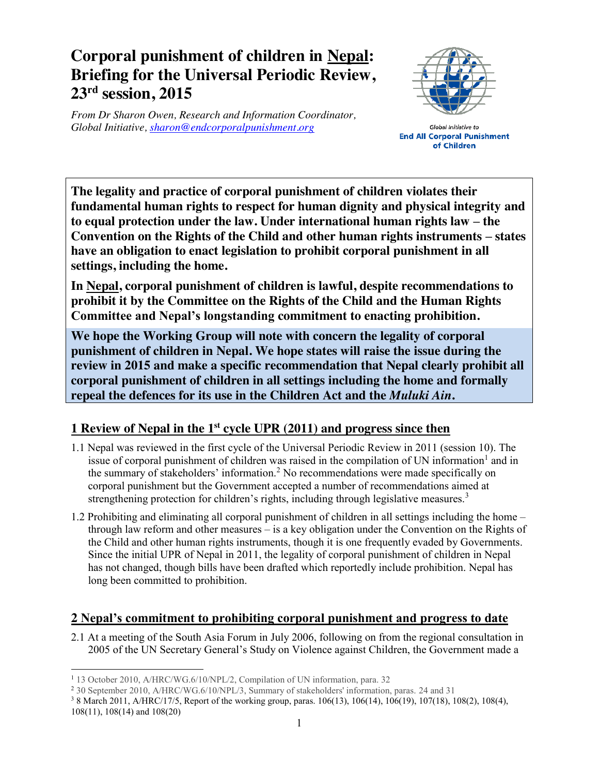# **Corporal punishment of children in Nepal: Briefing for the Universal Periodic Review, 23rd session, 2015**

*From Dr Sharon Owen, Research and Information Coordinator, Global Initiative, sharon@endcorporalpunishment.org*



Global Initiative to **End All Corporal Punishment** of Children

**The legality and practice of corporal punishment of children violates their fundamental human rights to respect for human dignity and physical integrity and to equal protection under the law. Under international human rights law – the Convention on the Rights of the Child and other human rights instruments – states have an obligation to enact legislation to prohibit corporal punishment in all settings, including the home.**

**In Nepal, corporal punishment of children is lawful, despite recommendations to prohibit it by the Committee on the Rights of the Child and the Human Rights Committee and Nepal's longstanding commitment to enacting prohibition.**

**We hope the Working Group will note with concern the legality of corporal punishment of children in Nepal. We hope states will raise the issue during the review in 2015 and make a specific recommendation that Nepal clearly prohibit all corporal punishment of children in all settings including the home and formally repeal the defences for its use in the Children Act and the** *Muluki Ain***.**

## **1 Review of Nepal in the 1st cycle UPR (2011) and progress since then**

- 1.1 Nepal was reviewed in the first cycle of the Universal Periodic Review in 2011 (session 10). The issue of corporal punishment of children was raised in the compilation of UN information<sup>1</sup> and in the summary of stakeholders' information.<sup>2</sup> No recommendations were made specifically on corporal punishment but the Government accepted a number of recommendations aimed at strengthening protection for children's rights, including through legislative measures.<sup>3</sup>
- 1.2 Prohibiting and eliminating all corporal punishment of children in all settings including the home through law reform and other measures – is a key obligation under the Convention on the Rights of the Child and other human rights instruments, though it is one frequently evaded by Governments. Since the initial UPR of Nepal in 2011, the legality of corporal punishment of children in Nepal has not changed, though bills have been drafted which reportedly include prohibition. Nepal has long been committed to prohibition.

## **2 Nepal's commitment to prohibiting corporal punishment and progress to date**

2.1 At a meeting of the South Asia Forum in July 2006, following on from the regional consultation in 2005 of the UN Secretary General's Study on Violence against Children, the Government made a

108(11), 108(14) and 108(20)

 <sup>1</sup> 13 October 2010, A/HRC/WG.6/10/NPL/2, Compilation of UN information, para. 32

<sup>2</sup> 30 September 2010, A/HRC/WG.6/10/NPL/3, Summary of stakeholders' information, paras. 24 and 31

<sup>3</sup> 8 March 2011, A/HRC/17/5, Report of the working group, paras. 106(13), 106(14), 106(19), 107(18), 108(2), 108(4),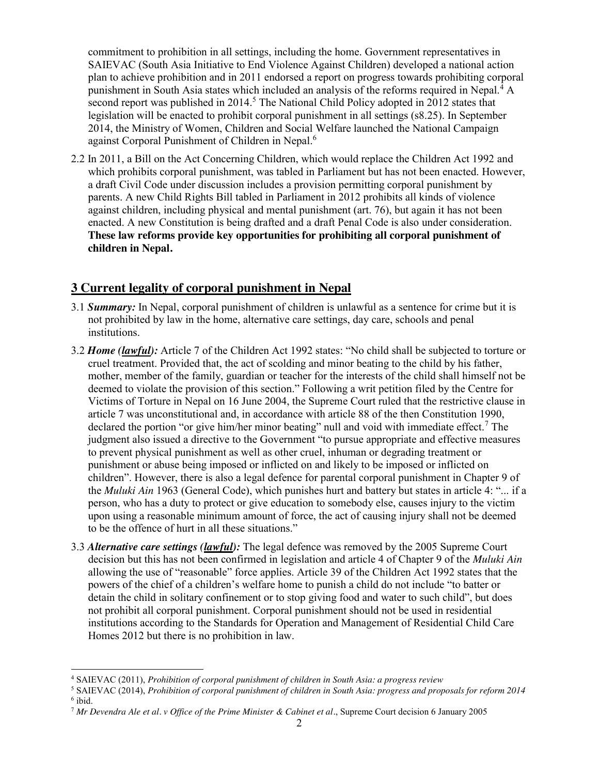commitment to prohibition in all settings, including the home. Government representatives in SAIEVAC (South Asia Initiative to End Violence Against Children) developed a national action plan to achieve prohibition and in 2011 endorsed a report on progress towards prohibiting corporal punishment in South Asia states which included an analysis of the reforms required in Nepal.<sup>4</sup> A second report was published in 2014.<sup>5</sup> The National Child Policy adopted in 2012 states that legislation will be enacted to prohibit corporal punishment in all settings (s8.25). In September 2014, the Ministry of Women, Children and Social Welfare launched the National Campaign against Corporal Punishment of Children in Nepal.<sup>6</sup>

2.2 In 2011, a Bill on the Act Concerning Children, which would replace the Children Act 1992 and which prohibits corporal punishment, was tabled in Parliament but has not been enacted. However, a draft Civil Code under discussion includes a provision permitting corporal punishment by parents. A new Child Rights Bill tabled in Parliament in 2012 prohibits all kinds of violence against children, including physical and mental punishment (art. 76), but again it has not been enacted. A new Constitution is being drafted and a draft Penal Code is also under consideration. **These law reforms provide key opportunities for prohibiting all corporal punishment of children in Nepal.**

### **3 Current legality of corporal punishment in Nepal**

- 3.1 *Summary:* In Nepal, corporal punishment of children is unlawful as a sentence for crime but it is not prohibited by law in the home, alternative care settings, day care, schools and penal institutions.
- 3.2 *Home (lawful):* Article 7 of the Children Act 1992 states: "No child shall be subjected to torture or cruel treatment. Provided that, the act of scolding and minor beating to the child by his father, mother, member of the family, guardian or teacher for the interests of the child shall himself not be deemed to violate the provision of this section." Following a writ petition filed by the Centre for Victims of Torture in Nepal on 16 June 2004, the Supreme Court ruled that the restrictive clause in article 7 was unconstitutional and, in accordance with article 88 of the then Constitution 1990, declared the portion "or give him/her minor beating" null and void with immediate effect.<sup>7</sup> The judgment also issued a directive to the Government "to pursue appropriate and effective measures to prevent physical punishment as well as other cruel, inhuman or degrading treatment or punishment or abuse being imposed or inflicted on and likely to be imposed or inflicted on children". However, there is also a legal defence for parental corporal punishment in Chapter 9 of the *Muluki Ain* 1963 (General Code), which punishes hurt and battery but states in article 4: "... if a person, who has a duty to protect or give education to somebody else, causes injury to the victim upon using a reasonable minimum amount of force, the act of causing injury shall not be deemed to be the offence of hurt in all these situations."
- 3.3 *Alternative care settings (lawful):* The legal defence was removed by the 2005 Supreme Court decision but this has not been confirmed in legislation and article 4 of Chapter 9 of the *Muluki Ain* allowing the use of "reasonable" force applies. Article 39 of the Children Act 1992 states that the powers of the chief of a children's welfare home to punish a child do not include "to batter or detain the child in solitary confinement or to stop giving food and water to such child", but does not prohibit all corporal punishment. Corporal punishment should not be used in residential institutions according to the Standards for Operation and Management of Residential Child Care Homes 2012 but there is no prohibition in law.

 <sup>4</sup> SAIEVAC (2011), *Prohibition of corporal punishment of children in South Asia: a progress review*

<sup>5</sup> SAIEVAC (2014), *Prohibition of corporal punishment of children in South Asia: progress and proposals for reform 2014*  $6$  ibid.

<sup>7</sup> *Mr Devendra Ale et al. v Office of the Prime Minister & Cabinet et al.*, Supreme Court decision 6 January 2005